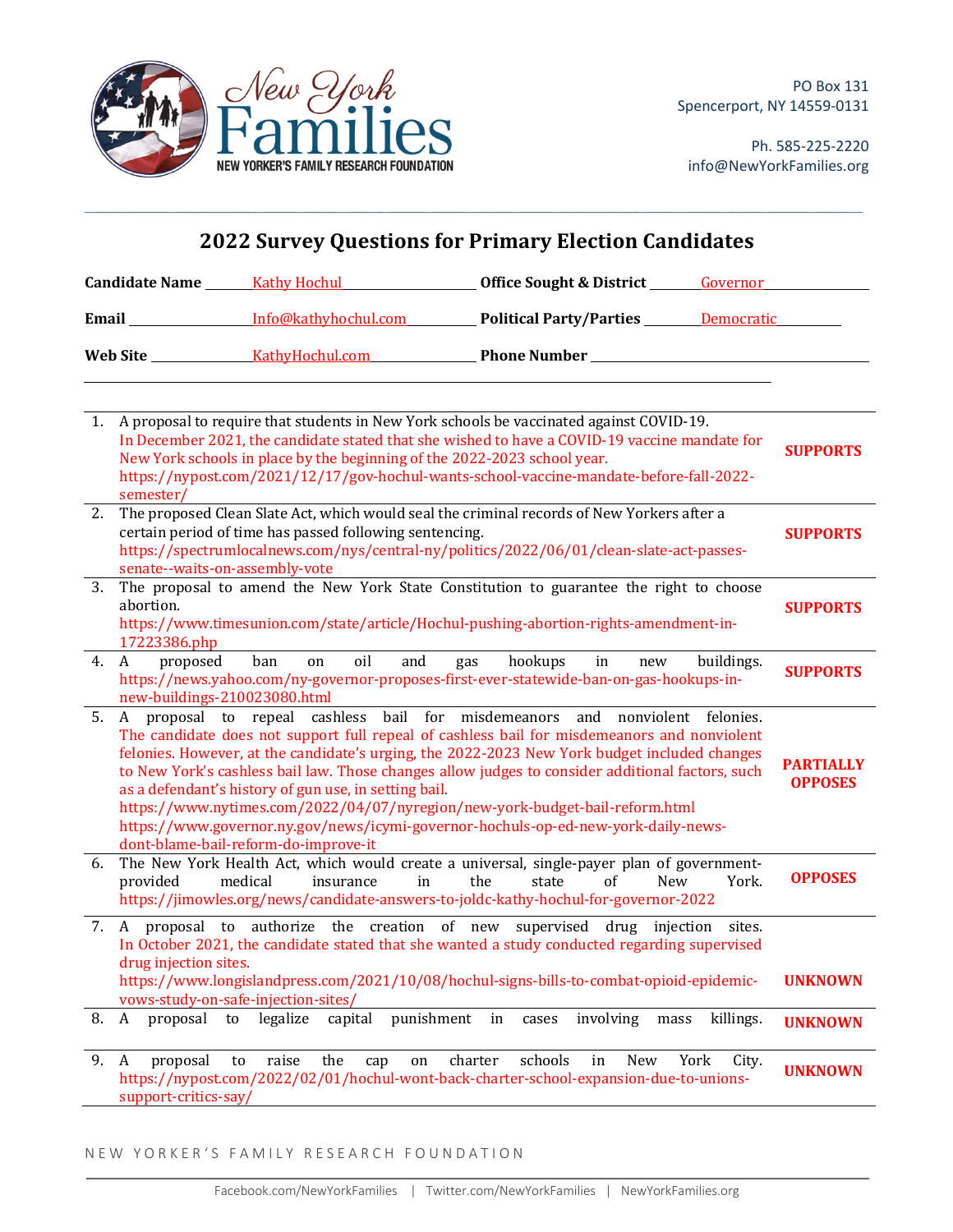

Ph. 585-225-2220 info@NewYorkFamilies.org

| <b>2022 Survey Questions for Primary Election Candidates</b> |                                               |                                                                                               |                                                                                                                                                                                                                                                                                                                                                                                                                                                                                                                                                       |               |                                    |
|--------------------------------------------------------------|-----------------------------------------------|-----------------------------------------------------------------------------------------------|-------------------------------------------------------------------------------------------------------------------------------------------------------------------------------------------------------------------------------------------------------------------------------------------------------------------------------------------------------------------------------------------------------------------------------------------------------------------------------------------------------------------------------------------------------|---------------|------------------------------------|
|                                                              |                                               |                                                                                               |                                                                                                                                                                                                                                                                                                                                                                                                                                                                                                                                                       |               |                                    |
|                                                              |                                               |                                                                                               | Email Info@kathyhochul.com Political Party/Parties Democratic                                                                                                                                                                                                                                                                                                                                                                                                                                                                                         |               |                                    |
|                                                              |                                               |                                                                                               |                                                                                                                                                                                                                                                                                                                                                                                                                                                                                                                                                       |               |                                    |
|                                                              | semester/                                     | New York schools in place by the beginning of the 2022-2023 school year.                      | 1. A proposal to require that students in New York schools be vaccinated against COVID-19.<br>In December 2021, the candidate stated that she wished to have a COVID-19 vaccine mandate for<br>https://nypost.com/2021/12/17/gov-hochul-wants-school-vaccine-mandate-before-fall-2022-                                                                                                                                                                                                                                                                |               | <b>SUPPORTS</b>                    |
| 2.                                                           | senate--waits-on-assembly-vote                | certain period of time has passed following sentencing.                                       | The proposed Clean Slate Act, which would seal the criminal records of New Yorkers after a<br>https://spectrumlocalnews.com/nys/central-ny/politics/2022/06/01/clean-slate-act-passes-                                                                                                                                                                                                                                                                                                                                                                |               | <b>SUPPORTS</b>                    |
| 3.                                                           | abortion.<br>17223386.php                     |                                                                                               | senate--waits-on-assembly-vote<br>The proposal to amend the New York State Constitution to guarantee the right to choose<br>https://www.timesunion.com/state/article/Hochul-pushing-abortion-rights-amendment-in-                                                                                                                                                                                                                                                                                                                                     |               | <b>SUPPORTS</b>                    |
| 4.                                                           | proposed<br>A<br>new-buildings-210023080.html | oil<br>and<br>ban<br>on                                                                       | gas hookups in<br>new<br>https://news.yahoo.com/ny-governor-proposes-first-ever-statewide-ban-on-gas-hookups-in-                                                                                                                                                                                                                                                                                                                                                                                                                                      | buildings.    | <b>SUPPORTS</b>                    |
| 5.                                                           |                                               | as a defendant's history of gun use, in setting bail.<br>dont-blame-bail-reform-do-improve-it | A proposal to repeal cashless bail for misdemeanors and nonviolent felonies.<br>The candidate does not support full repeal of cashless bail for misdemeanors and nonviolent<br>felonies. However, at the candidate's urging, the 2022-2023 New York budget included changes<br>to New York's cashless bail law. Those changes allow judges to consider additional factors, such<br>https://www.nytimes.com/2022/04/07/nyregion/new-york-budget-bail-reform.html<br>https://www.governor.ny.gov/news/icymi-governor-hochuls-op-ed-new-york-daily-news- |               | <b>PARTIALLY</b><br><b>OPPOSES</b> |
| 6.                                                           | provided                                      | medical<br>insurance<br>in                                                                    | The New York Health Act, which would create a universal, single-payer plan of government-<br>of<br>the<br>state<br><b>New</b><br>https://jimowles.org/news/candidate-answers-to-joldc-kathy-hochul-for-governor-2022                                                                                                                                                                                                                                                                                                                                  | York.         | <b>OPPOSES</b>                     |
|                                                              | drug injection sites.                         | vows-study-on-safe-injection-sites/                                                           | 7. A proposal to authorize the creation of new supervised drug injection sites.<br>In October 2021, the candidate stated that she wanted a study conducted regarding supervised<br>https://www.longislandpress.com/2021/10/08/hochul-signs-bills-to-combat-opioid-epidemic-                                                                                                                                                                                                                                                                           |               | <b>UNKNOWN</b>                     |
| 8.                                                           | A                                             | proposal to legalize<br>capital                                                               | punishment in<br>involving<br>cases<br>mass                                                                                                                                                                                                                                                                                                                                                                                                                                                                                                           | killings.     | <b>UNKNOWN</b>                     |
| 9.                                                           | proposal<br>A<br>support-critics-say/         | raise<br>the<br>to<br>cap<br>on                                                               | schools<br>charter<br>in<br>New<br>https://nypost.com/2022/02/01/hochul-wont-back-charter-school-expansion-due-to-unions-                                                                                                                                                                                                                                                                                                                                                                                                                             | York<br>City. | <b>UNKNOWN</b>                     |

 $\mathcal{L}_\mathcal{L} = \mathcal{L}_\mathcal{L} = \mathcal{L}_\mathcal{L} = \mathcal{L}_\mathcal{L} = \mathcal{L}_\mathcal{L} = \mathcal{L}_\mathcal{L} = \mathcal{L}_\mathcal{L} = \mathcal{L}_\mathcal{L} = \mathcal{L}_\mathcal{L} = \mathcal{L}_\mathcal{L} = \mathcal{L}_\mathcal{L} = \mathcal{L}_\mathcal{L} = \mathcal{L}_\mathcal{L} = \mathcal{L}_\mathcal{L} = \mathcal{L}_\mathcal{L} = \mathcal{L}_\mathcal{L} = \mathcal{L}_\mathcal{L}$ 

NEW YORKER'S FAMILY RESEARCH FOUNDATION